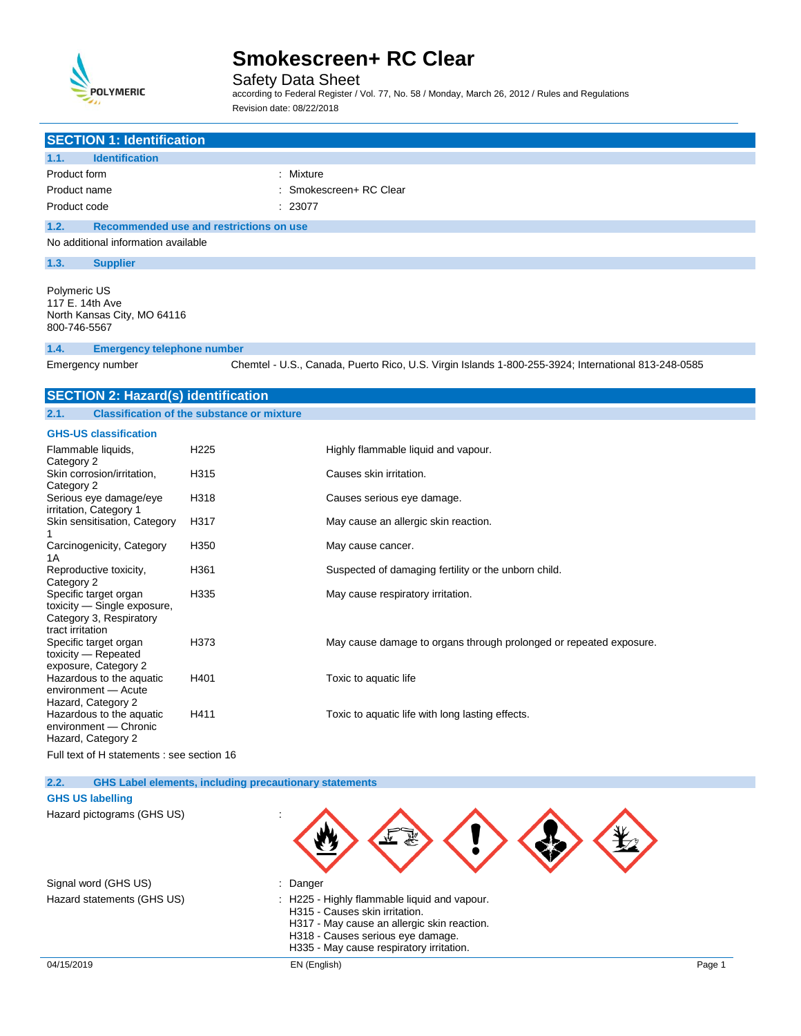

Safety Data Sheet

according to Federal Register / Vol. 77, No. 58 / Monday, March 26, 2012 / Rules and Regulations Revision date: 08/22/2018

| <b>SECTION 1: Identification</b>                                                                    |                  |                                                                                                     |
|-----------------------------------------------------------------------------------------------------|------------------|-----------------------------------------------------------------------------------------------------|
| <b>Identification</b><br>1.1.                                                                       |                  |                                                                                                     |
| Product form                                                                                        |                  | : Mixture                                                                                           |
| Product name                                                                                        |                  | : Smokescreen+ RC Clear                                                                             |
| Product code                                                                                        |                  | 23077                                                                                               |
| 1.2.<br>Recommended use and restrictions on use                                                     |                  |                                                                                                     |
| No additional information available                                                                 |                  |                                                                                                     |
| 1.3.<br><b>Supplier</b>                                                                             |                  |                                                                                                     |
| Polymeric US<br>117 E. 14th Ave<br>North Kansas City, MO 64116<br>800-746-5567                      |                  |                                                                                                     |
| <b>Emergency telephone number</b><br>1.4.                                                           |                  |                                                                                                     |
| Emergency number                                                                                    |                  | Chemtel - U.S., Canada, Puerto Rico, U.S. Virgin Islands 1-800-255-3924; International 813-248-0585 |
| <b>SECTION 2: Hazard(s) identification</b>                                                          |                  |                                                                                                     |
| 2.1.<br><b>Classification of the substance or mixture</b>                                           |                  |                                                                                                     |
| <b>GHS-US classification</b>                                                                        |                  |                                                                                                     |
| Flammable liquids,<br>Category 2                                                                    | H <sub>225</sub> | Highly flammable liquid and vapour.                                                                 |
| Skin corrosion/irritation,<br>Category 2                                                            | H315             | Causes skin irritation.                                                                             |
| Serious eye damage/eye<br>irritation, Category 1                                                    | H318             | Causes serious eye damage.                                                                          |
| Skin sensitisation, Category<br>1                                                                   | H317             | May cause an allergic skin reaction.                                                                |
| Carcinogenicity, Category<br>1A                                                                     | H <sub>350</sub> | May cause cancer.                                                                                   |
| Reproductive toxicity,<br>Category 2                                                                | H361             | Suspected of damaging fertility or the unborn child.                                                |
| Specific target organ<br>toxicity - Single exposure,<br>Category 3, Respiratory<br>tract irritation | H335             | May cause respiratory irritation.                                                                   |
| Specific target organ<br>toxicity — Repeated                                                        | H373             | May cause damage to organs through prolonged or repeated exposure.                                  |
| exposure, Category 2<br>Hazardous to the aquatic<br>environment - Acute<br>Hazard, Category 2       | H401             | Toxic to aquatic life                                                                               |
| Hazardous to the aquatic<br>environment - Chronic<br>Hazard, Category 2                             | H411             | Toxic to aquatic life with long lasting effects.                                                    |
| -                                                                                                   |                  |                                                                                                     |

Full text of H statements : see section 16

**2.2. GHS Label elements, including precautionary statements**

**GHS US labelling**

Hazard pictograms (GHS US) :

Signal word (GHS US) in the state of the Signal word (GHS US)

- 
- Hazard statements (GHS US) : H225 Highly flammable liquid and vapour.
	- H315 Causes skin irritation.
	- H317 May cause an allergic skin reaction.
	- H318 Causes serious eye damage.
	- H335 May cause respiratory irritation.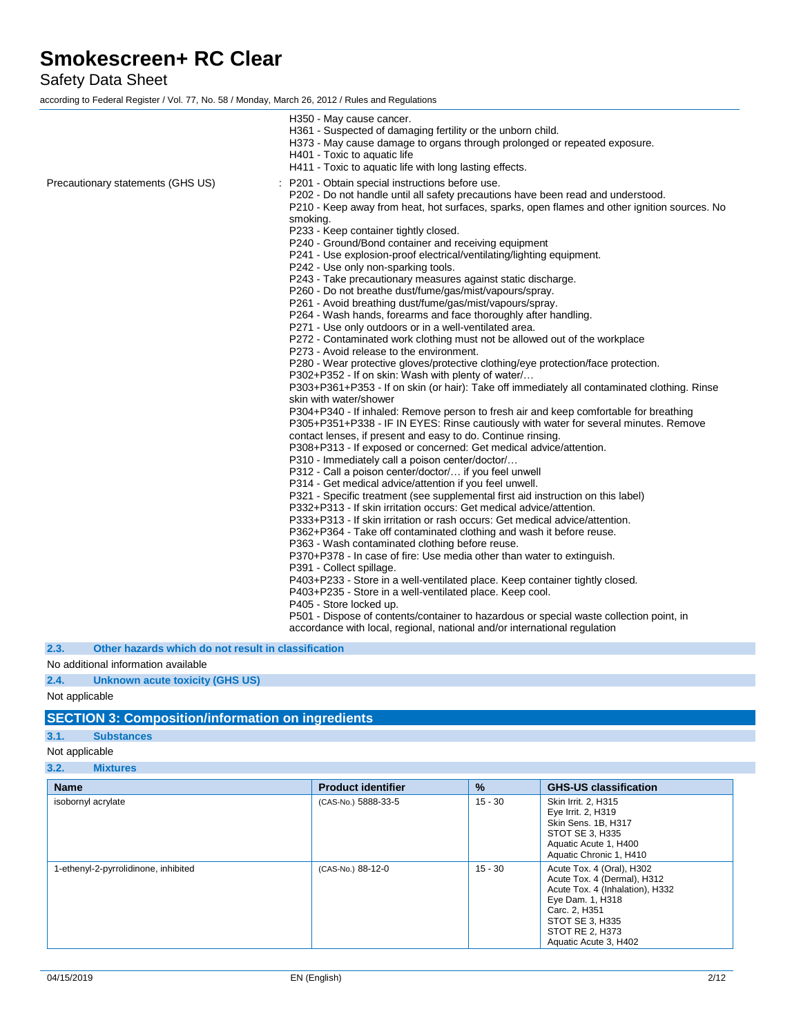## Safety Data Sheet

according to Federal Register / Vol. 77, No. 58 / Monday, March 26, 2012 / Rules and Regulations

|                                   | H350 - May cause cancer.<br>H361 - Suspected of damaging fertility or the unborn child.<br>H373 - May cause damage to organs through prolonged or repeated exposure.<br>H401 - Toxic to aquatic life<br>H411 - Toxic to aquatic life with long lasting effects.                                                                                                                                                                                                                                                                                                                                                                                                                                                                                                                                        |
|-----------------------------------|--------------------------------------------------------------------------------------------------------------------------------------------------------------------------------------------------------------------------------------------------------------------------------------------------------------------------------------------------------------------------------------------------------------------------------------------------------------------------------------------------------------------------------------------------------------------------------------------------------------------------------------------------------------------------------------------------------------------------------------------------------------------------------------------------------|
| Precautionary statements (GHS US) | : P201 - Obtain special instructions before use.<br>P202 - Do not handle until all safety precautions have been read and understood.<br>P210 - Keep away from heat, hot surfaces, sparks, open flames and other ignition sources. No                                                                                                                                                                                                                                                                                                                                                                                                                                                                                                                                                                   |
|                                   | smoking.<br>P233 - Keep container tightly closed.<br>P240 - Ground/Bond container and receiving equipment<br>P241 - Use explosion-proof electrical/ventilating/lighting equipment.<br>P242 - Use only non-sparking tools.<br>P243 - Take precautionary measures against static discharge.<br>P260 - Do not breathe dust/fume/gas/mist/vapours/spray.<br>P261 - Avoid breathing dust/fume/gas/mist/vapours/spray.<br>P264 - Wash hands, forearms and face thoroughly after handling.<br>P271 - Use only outdoors or in a well-ventilated area.<br>P272 - Contaminated work clothing must not be allowed out of the workplace<br>P273 - Avoid release to the environment.<br>P280 - Wear protective gloves/protective clothing/eye protection/face protection.                                           |
|                                   | P302+P352 - If on skin: Wash with plenty of water/<br>P303+P361+P353 - If on skin (or hair): Take off immediately all contaminated clothing. Rinse<br>skin with water/shower<br>P304+P340 - If inhaled: Remove person to fresh air and keep comfortable for breathing<br>P305+P351+P338 - IF IN EYES: Rinse cautiously with water for several minutes. Remove<br>contact lenses, if present and easy to do. Continue rinsing.<br>P308+P313 - If exposed or concerned: Get medical advice/attention.<br>P310 - Immediately call a poison center/doctor/<br>P312 - Call a poison center/doctor/ if you feel unwell                                                                                                                                                                                       |
|                                   | P314 - Get medical advice/attention if you feel unwell.<br>P321 - Specific treatment (see supplemental first aid instruction on this label)<br>P332+P313 - If skin irritation occurs: Get medical advice/attention.<br>P333+P313 - If skin irritation or rash occurs: Get medical advice/attention.<br>P362+P364 - Take off contaminated clothing and wash it before reuse.<br>P363 - Wash contaminated clothing before reuse.<br>P370+P378 - In case of fire: Use media other than water to extinguish.<br>P391 - Collect spillage.<br>P403+P233 - Store in a well-ventilated place. Keep container tightly closed.<br>P403+P235 - Store in a well-ventilated place. Keep cool.<br>P405 - Store locked up.<br>P501 - Dispose of contents/container to hazardous or special waste collection point, in |
|                                   | accordance with local, regional, national and/or international regulation                                                                                                                                                                                                                                                                                                                                                                                                                                                                                                                                                                                                                                                                                                                              |

**2.3. Other hazards which do not result in classification**

#### No additional information available

**2.4. Unknown acute toxicity (GHS US)**

#### Not applicable

## **SECTION 3: Composition/information on ingredients**

### **3.1. Substances**

### Not applicable

**3.2. Mixtures**

| <b>Name</b>                          | <b>Product identifier</b> | $\frac{9}{6}$ | <b>GHS-US classification</b>                                                                                                                                                                    |
|--------------------------------------|---------------------------|---------------|-------------------------------------------------------------------------------------------------------------------------------------------------------------------------------------------------|
| isobornyl acrylate                   | (CAS-No.) 5888-33-5       | $15 - 30$     | Skin Irrit. 2, H315<br>Eye Irrit. 2, H319<br>Skin Sens. 1B, H317<br>STOT SE 3, H335<br>Aquatic Acute 1, H400<br>Aquatic Chronic 1, H410                                                         |
| 1-ethenyl-2-pyrrolidinone, inhibited | (CAS-No.) 88-12-0         | $15 - 30$     | Acute Tox. 4 (Oral), H302<br>Acute Tox. 4 (Dermal), H312<br>Acute Tox. 4 (Inhalation), H332<br>Eye Dam. 1, H318<br>Carc. 2, H351<br>STOT SE 3, H335<br>STOT RE 2, H373<br>Aquatic Acute 3, H402 |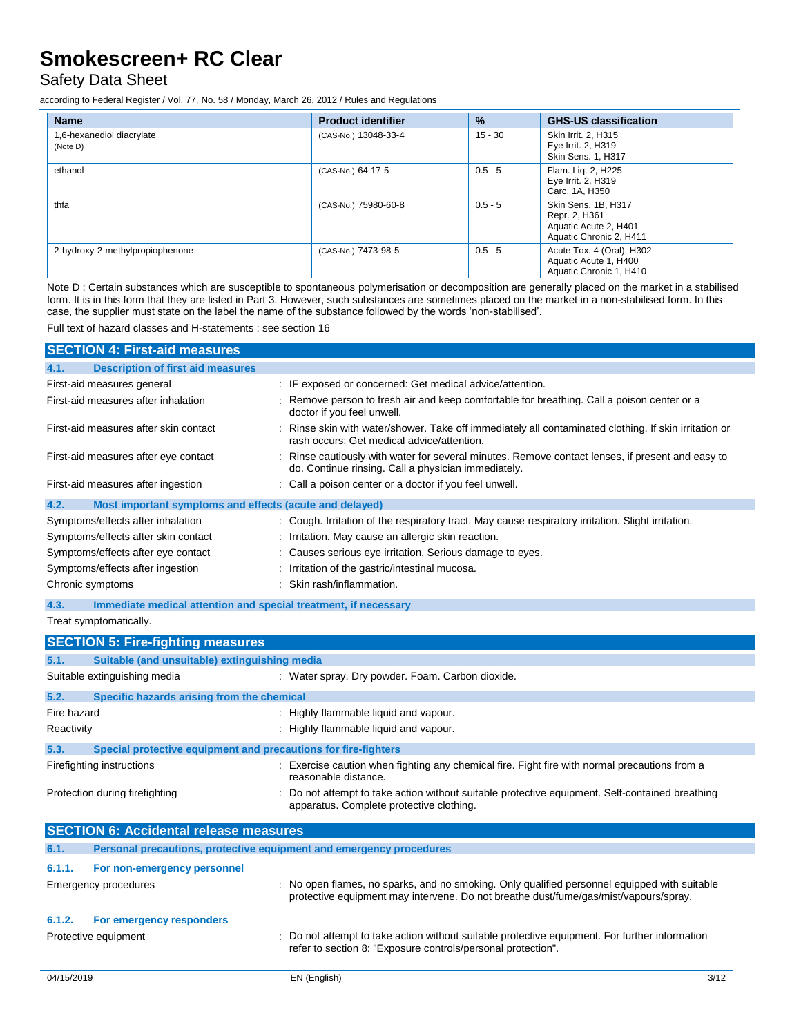## Safety Data Sheet

according to Federal Register / Vol. 77, No. 58 / Monday, March 26, 2012 / Rules and Regulations

| <b>Name</b>                           | <b>Product identifier</b> | $\frac{9}{6}$ | <b>GHS-US classification</b>                                                             |
|---------------------------------------|---------------------------|---------------|------------------------------------------------------------------------------------------|
| 1,6-hexanediol diacrylate<br>(Note D) | (CAS-No.) 13048-33-4      | $15 - 30$     | Skin Irrit. 2. H315<br>Eye Irrit. 2, H319<br>Skin Sens. 1, H317                          |
| ethanol                               | (CAS-No.) 64-17-5         | $0.5 - 5$     | Flam. Lig. 2, H225<br>Eye Irrit. 2, H319<br>Carc. 1A, H350                               |
| thfa                                  | (CAS-No.) 75980-60-8      | $0.5 - 5$     | Skin Sens. 1B, H317<br>Repr. 2, H361<br>Aquatic Acute 2, H401<br>Aquatic Chronic 2, H411 |
| 2-hydroxy-2-methylpropiophenone       | (CAS-No.) 7473-98-5       | $0.5 - 5$     | Acute Tox. 4 (Oral), H302<br>Aquatic Acute 1, H400<br>Aquatic Chronic 1, H410            |

Note D : Certain substances which are susceptible to spontaneous polymerisation or decomposition are generally placed on the market in a stabilised form. It is in this form that they are listed in Part 3. However, such substances are sometimes placed on the market in a non-stabilised form. In this case, the supplier must state on the label the name of the substance followed by the words 'non-stabilised'.

Full text of hazard classes and H-statements : see section 16

| <b>SECTION 4: First-aid measures</b>                                                                                                               |                                                                                                                                                         |  |
|----------------------------------------------------------------------------------------------------------------------------------------------------|---------------------------------------------------------------------------------------------------------------------------------------------------------|--|
| <b>Description of first aid measures</b><br>4.1.                                                                                                   |                                                                                                                                                         |  |
| First-aid measures general                                                                                                                         | : IF exposed or concerned: Get medical advice/attention.                                                                                                |  |
| First-aid measures after inhalation                                                                                                                | : Remove person to fresh air and keep comfortable for breathing. Call a poison center or a<br>doctor if you feel unwell.                                |  |
| First-aid measures after skin contact                                                                                                              | : Rinse skin with water/shower. Take off immediately all contaminated clothing. If skin irritation or<br>rash occurs: Get medical advice/attention.     |  |
| First-aid measures after eye contact                                                                                                               | : Rinse cautiously with water for several minutes. Remove contact lenses, if present and easy to<br>do. Continue rinsing. Call a physician immediately. |  |
| First-aid measures after ingestion                                                                                                                 | : Call a poison center or a doctor if you feel unwell.                                                                                                  |  |
| 4.2.<br>Most important symptoms and effects (acute and delayed)                                                                                    |                                                                                                                                                         |  |
| Symptoms/effects after inhalation                                                                                                                  | : Cough. Irritation of the respiratory tract. May cause respiratory irritation. Slight irritation.                                                      |  |
| Symptoms/effects after skin contact                                                                                                                | : Irritation. May cause an allergic skin reaction.                                                                                                      |  |
| Symptoms/effects after eye contact                                                                                                                 | : Causes serious eye irritation. Serious damage to eyes.                                                                                                |  |
| Symptoms/effects after ingestion                                                                                                                   | Irritation of the gastric/intestinal mucosa.                                                                                                            |  |
| Chronic symptoms                                                                                                                                   | : Skin rash/inflammation.                                                                                                                               |  |
| 4.3.<br>Immediate medical attention and special treatment, if necessary                                                                            |                                                                                                                                                         |  |
| Treat symptomatically.                                                                                                                             |                                                                                                                                                         |  |
| <b>SECTION 5: Fire-fighting measures</b>                                                                                                           |                                                                                                                                                         |  |
| 5.1.<br>Suitable (and unsuitable) extinguishing media                                                                                              |                                                                                                                                                         |  |
| Suitable extinguishing media                                                                                                                       | : Water spray. Dry powder. Foam. Carbon dioxide.                                                                                                        |  |
| 5.2.<br>Specific hazards arising from the chemical                                                                                                 |                                                                                                                                                         |  |
| Fire hazard                                                                                                                                        | : Highly flammable liquid and vapour.                                                                                                                   |  |
| Reactivity                                                                                                                                         | : Highly flammable liquid and vapour.                                                                                                                   |  |
| 5.3.<br>Special protective equipment and precautions for fire-fighters                                                                             |                                                                                                                                                         |  |
| : Exercise caution when fighting any chemical fire. Fight fire with normal precautions from a<br>Firefighting instructions<br>reasonable distance. |                                                                                                                                                         |  |
| Protection during firefighting                                                                                                                     | Do not attempt to take action without suitable protective equipment. Self-contained breathing<br>apparatus. Complete protective clothing.               |  |

|        | <b>SECTION 6: Accidental release measures</b>                       |                                                                                                                                                                                      |
|--------|---------------------------------------------------------------------|--------------------------------------------------------------------------------------------------------------------------------------------------------------------------------------|
| 6.1.   | Personal precautions, protective equipment and emergency procedures |                                                                                                                                                                                      |
| 6.1.1. | For non-emergency personnel                                         |                                                                                                                                                                                      |
|        | Emergency procedures                                                | : No open flames, no sparks, and no smoking. Only qualified personnel equipped with suitable<br>protective equipment may intervene. Do not breathe dust/fume/gas/mist/vapours/spray. |
| 6.1.2. | For emergency responders                                            |                                                                                                                                                                                      |
|        | Protective equipment                                                | : Do not attempt to take action without suitable protective equipment. For further information<br>refer to section 8: "Exposure controls/personal protection".                       |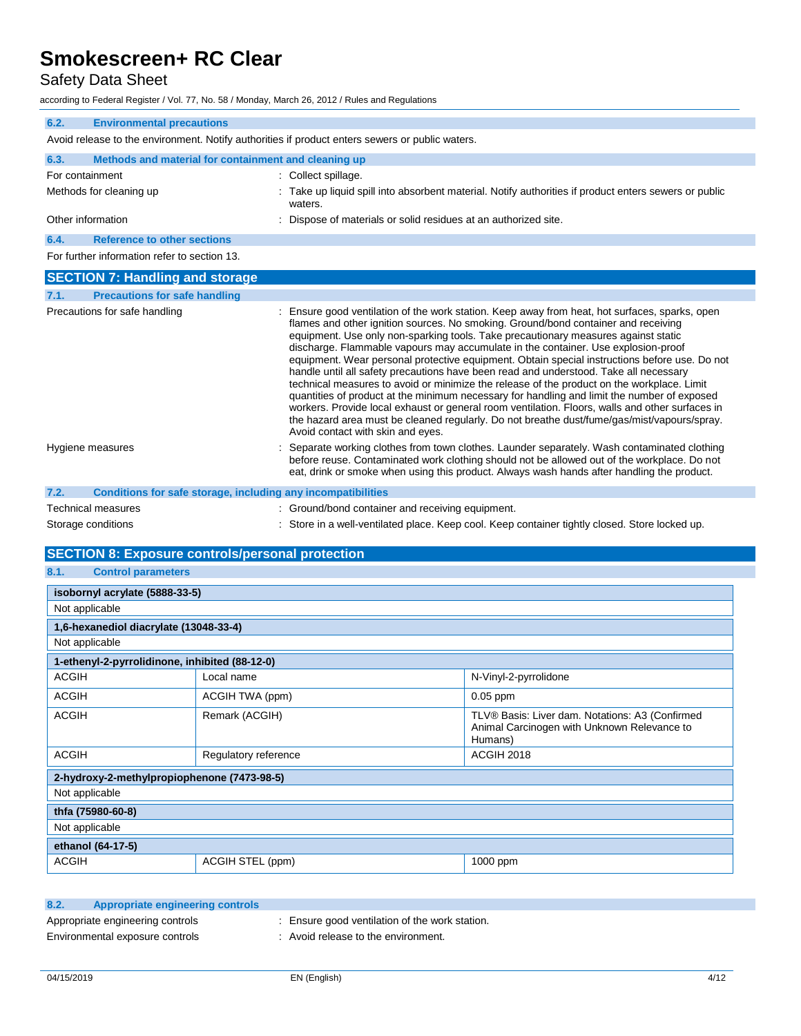## Safety Data Sheet

according to Federal Register / Vol. 77, No. 58 / Monday, March 26, 2012 / Rules and Regulations

| iccording to Federal Register / Vol. 77, No. 58 / Monday, March 26, 2012 / Rules and Regulations |                                                                                                                                                                                                                                                                                                                                                                                                                                                                                                                                                                                                                                                                                                                                                                                                                                                                                                                                                                                               |
|--------------------------------------------------------------------------------------------------|-----------------------------------------------------------------------------------------------------------------------------------------------------------------------------------------------------------------------------------------------------------------------------------------------------------------------------------------------------------------------------------------------------------------------------------------------------------------------------------------------------------------------------------------------------------------------------------------------------------------------------------------------------------------------------------------------------------------------------------------------------------------------------------------------------------------------------------------------------------------------------------------------------------------------------------------------------------------------------------------------|
| <b>Environmental precautions</b><br>6.2.                                                         |                                                                                                                                                                                                                                                                                                                                                                                                                                                                                                                                                                                                                                                                                                                                                                                                                                                                                                                                                                                               |
|                                                                                                  | Avoid release to the environment. Notify authorities if product enters sewers or public waters.                                                                                                                                                                                                                                                                                                                                                                                                                                                                                                                                                                                                                                                                                                                                                                                                                                                                                               |
| Methods and material for containment and cleaning up<br>6.3.                                     |                                                                                                                                                                                                                                                                                                                                                                                                                                                                                                                                                                                                                                                                                                                                                                                                                                                                                                                                                                                               |
| For containment                                                                                  | : Collect spillage.                                                                                                                                                                                                                                                                                                                                                                                                                                                                                                                                                                                                                                                                                                                                                                                                                                                                                                                                                                           |
| Methods for cleaning up                                                                          | Take up liquid spill into absorbent material. Notify authorities if product enters sewers or public<br>waters.                                                                                                                                                                                                                                                                                                                                                                                                                                                                                                                                                                                                                                                                                                                                                                                                                                                                                |
| Other information                                                                                | : Dispose of materials or solid residues at an authorized site.                                                                                                                                                                                                                                                                                                                                                                                                                                                                                                                                                                                                                                                                                                                                                                                                                                                                                                                               |
| 6.4.<br><b>Reference to other sections</b>                                                       |                                                                                                                                                                                                                                                                                                                                                                                                                                                                                                                                                                                                                                                                                                                                                                                                                                                                                                                                                                                               |
| For further information refer to section 13.                                                     |                                                                                                                                                                                                                                                                                                                                                                                                                                                                                                                                                                                                                                                                                                                                                                                                                                                                                                                                                                                               |
| <b>SECTION 7: Handling and storage</b>                                                           |                                                                                                                                                                                                                                                                                                                                                                                                                                                                                                                                                                                                                                                                                                                                                                                                                                                                                                                                                                                               |
| <b>Precautions for safe handling</b><br>7.1.                                                     |                                                                                                                                                                                                                                                                                                                                                                                                                                                                                                                                                                                                                                                                                                                                                                                                                                                                                                                                                                                               |
| Precautions for safe handling                                                                    | : Ensure good ventilation of the work station. Keep away from heat, hot surfaces, sparks, open<br>flames and other ignition sources. No smoking. Ground/bond container and receiving<br>equipment. Use only non-sparking tools. Take precautionary measures against static<br>discharge. Flammable vapours may accumulate in the container. Use explosion-proof<br>equipment. Wear personal protective equipment. Obtain special instructions before use. Do not<br>handle until all safety precautions have been read and understood. Take all necessary<br>technical measures to avoid or minimize the release of the product on the workplace. Limit<br>quantities of product at the minimum necessary for handling and limit the number of exposed<br>workers. Provide local exhaust or general room ventilation. Floors, walls and other surfaces in<br>the hazard area must be cleaned regularly. Do not breathe dust/fume/gas/mist/vapours/spray.<br>Avoid contact with skin and eyes. |
| Hygiene measures                                                                                 | Separate working clothes from town clothes. Launder separately. Wash contaminated clothing<br>before reuse. Contaminated work clothing should not be allowed out of the workplace. Do not<br>eat, drink or smoke when using this product. Always wash hands after handling the product.                                                                                                                                                                                                                                                                                                                                                                                                                                                                                                                                                                                                                                                                                                       |
| 7.2.<br>Conditions for safe storage, including any incompatibilities                             |                                                                                                                                                                                                                                                                                                                                                                                                                                                                                                                                                                                                                                                                                                                                                                                                                                                                                                                                                                                               |
| Technical measures                                                                               | : Ground/bond container and receiving equipment.                                                                                                                                                                                                                                                                                                                                                                                                                                                                                                                                                                                                                                                                                                                                                                                                                                                                                                                                              |
| Storage conditions                                                                               | : Store in a well-ventilated place. Keep cool. Keep container tightly closed. Store locked up.                                                                                                                                                                                                                                                                                                                                                                                                                                                                                                                                                                                                                                                                                                                                                                                                                                                                                                |

## **SECTION 8: Exposure controls/personal protection**

| <u>ULUTION 0. LAPOSUIG CONTECIME SUITU PIULGUIUI</u> |                      |                                                                                                           |  |  |
|------------------------------------------------------|----------------------|-----------------------------------------------------------------------------------------------------------|--|--|
| 8.1.<br><b>Control parameters</b>                    |                      |                                                                                                           |  |  |
| isobornyl acrylate (5888-33-5)                       |                      |                                                                                                           |  |  |
| Not applicable                                       |                      |                                                                                                           |  |  |
| 1,6-hexanediol diacrylate (13048-33-4)               |                      |                                                                                                           |  |  |
| Not applicable                                       |                      |                                                                                                           |  |  |
| 1-ethenyl-2-pyrrolidinone, inhibited (88-12-0)       |                      |                                                                                                           |  |  |
| <b>ACGIH</b>                                         | Local name           | N-Vinyl-2-pyrrolidone                                                                                     |  |  |
| <b>ACGIH</b>                                         | ACGIH TWA (ppm)      | $0.05$ ppm                                                                                                |  |  |
| <b>ACGIH</b>                                         | Remark (ACGIH)       | TLV® Basis: Liver dam. Notations: A3 (Confirmed<br>Animal Carcinogen with Unknown Relevance to<br>Humans) |  |  |
| <b>ACGIH</b>                                         | Regulatory reference | ACGIH 2018                                                                                                |  |  |
| 2-hydroxy-2-methylpropiophenone (7473-98-5)          |                      |                                                                                                           |  |  |
| Not applicable                                       |                      |                                                                                                           |  |  |
| thfa (75980-60-8)                                    |                      |                                                                                                           |  |  |
| Not applicable                                       |                      |                                                                                                           |  |  |
| ethanol (64-17-5)                                    |                      |                                                                                                           |  |  |
| <b>ACGIH</b>                                         | ACGIH STEL (ppm)     | 1000 ppm                                                                                                  |  |  |

| 8.2. | Appropriate engineering controls |                                                |
|------|----------------------------------|------------------------------------------------|
|      | Appropriate engineering controls | : Ensure good ventilation of the work station. |
|      | Environmental exposure controls  | Avoid release to the environment.              |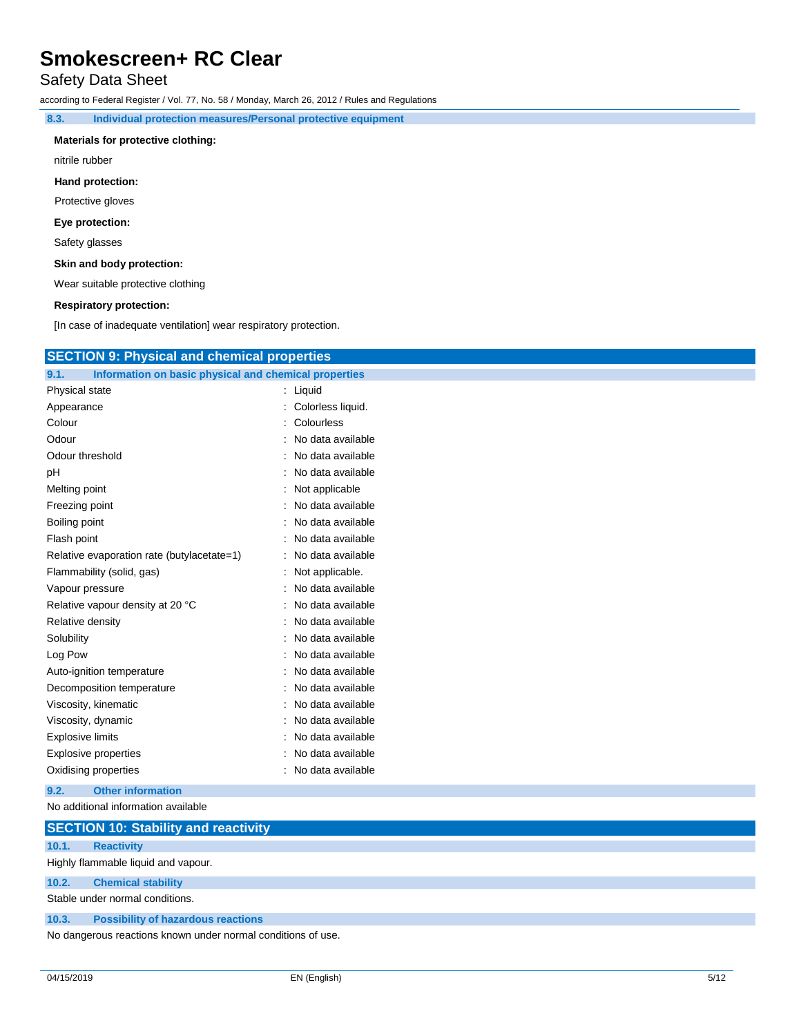## Safety Data Sheet

according to Federal Register / Vol. 77, No. 58 / Monday, March 26, 2012 / Rules and Regulations

**8.3. Individual protection measures/Personal protective equipment**

#### **Materials for protective clothing:**

nitrile rubber

#### **Hand protection:**

Protective gloves

#### **Eye protection:**

Safety glasses

#### **Skin and body protection:**

Wear suitable protective clothing

#### **Respiratory protection:**

[In case of inadequate ventilation] wear respiratory protection.

| <b>SECTION 9: Physical and chemical properties</b>            |                     |
|---------------------------------------------------------------|---------------------|
| 9.1.<br>Information on basic physical and chemical properties |                     |
| Physical state                                                | $:$ Liquid          |
| Appearance                                                    | Colorless liquid.   |
| Colour                                                        | Colourless          |
| Odour                                                         | : No data available |
| Odour threshold                                               | : No data available |
| рH                                                            | No data available   |
| Melting point                                                 | : Not applicable    |
| Freezing point                                                | No data available   |
| Boiling point                                                 | No data available   |
| Flash point                                                   | : No data available |
| Relative evaporation rate (butylacetate=1)                    | : No data available |
| Flammability (solid, gas)                                     | Not applicable.     |
| Vapour pressure                                               | : No data available |
| Relative vapour density at 20 °C                              | : No data available |
| Relative density                                              | No data available   |
| Solubility                                                    | : No data available |
| Log Pow                                                       | No data available   |
| Auto-ignition temperature                                     | No data available   |
| Decomposition temperature                                     | : No data available |
| Viscosity, kinematic                                          | No data available   |
| Viscosity, dynamic                                            | No data available   |
| <b>Explosive limits</b>                                       | : No data available |
| <b>Explosive properties</b>                                   | No data available   |
| Oxidising properties                                          | : No data available |
| 9.2.<br><b>Other information</b>                              |                     |
| No additional information available                           |                     |

|       | <b>SECTION 10: Stability and reactivity</b>                  |
|-------|--------------------------------------------------------------|
| 10.1. | <b>Reactivity</b>                                            |
|       | Highly flammable liquid and vapour.                          |
| 10.2. | <b>Chemical stability</b>                                    |
|       | Stable under normal conditions.                              |
| 10.3. | <b>Possibility of hazardous reactions</b>                    |
|       | No dangerous reactions known under normal conditions of use. |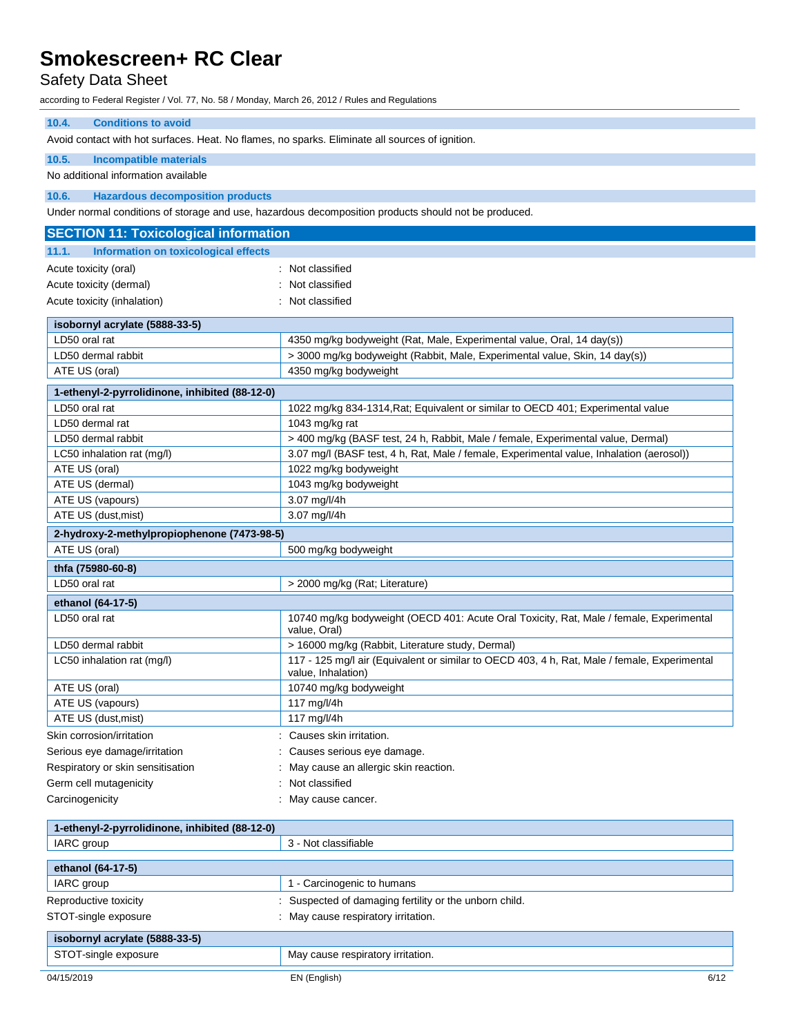## Safety Data Sheet

according to Federal Register / Vol. 77, No. 58 / Monday, March 26, 2012 / Rules and Regulations

### **10.4. Conditions to avoid**

Avoid contact with hot surfaces. Heat. No flames, no sparks. Eliminate all sources of ignition.

#### **10.5. Incompatible materials**

No additional information available

#### **10.6. Hazardous decomposition products**

Under normal conditions of storage and use, hazardous decomposition products should not be produced.

| <b>SECTION 11: Toxicological information</b>   |                                                                                                                    |  |
|------------------------------------------------|--------------------------------------------------------------------------------------------------------------------|--|
| Information on toxicological effects<br>11.1.  |                                                                                                                    |  |
| Acute toxicity (oral)                          | : Not classified                                                                                                   |  |
| Acute toxicity (dermal)                        | : Not classified                                                                                                   |  |
| Acute toxicity (inhalation)                    | : Not classified                                                                                                   |  |
| isobornyl acrylate (5888-33-5)                 |                                                                                                                    |  |
| LD50 oral rat                                  | 4350 mg/kg bodyweight (Rat, Male, Experimental value, Oral, 14 day(s))                                             |  |
| LD50 dermal rabbit                             | > 3000 mg/kg bodyweight (Rabbit, Male, Experimental value, Skin, 14 day(s))                                        |  |
| ATE US (oral)                                  | 4350 mg/kg bodyweight                                                                                              |  |
| 1-ethenyl-2-pyrrolidinone, inhibited (88-12-0) |                                                                                                                    |  |
| LD50 oral rat                                  | 1022 mg/kg 834-1314, Rat; Equivalent or similar to OECD 401; Experimental value                                    |  |
| LD50 dermal rat                                | 1043 mg/kg rat                                                                                                     |  |
| LD50 dermal rabbit                             | > 400 mg/kg (BASF test, 24 h, Rabbit, Male / female, Experimental value, Dermal)                                   |  |
| LC50 inhalation rat (mg/l)                     | 3.07 mg/l (BASF test, 4 h, Rat, Male / female, Experimental value, Inhalation (aerosol))                           |  |
| ATE US (oral)                                  | 1022 mg/kg bodyweight                                                                                              |  |
| ATE US (dermal)                                | 1043 mg/kg bodyweight                                                                                              |  |
| ATE US (vapours)                               | 3.07 mg/l/4h                                                                                                       |  |
| ATE US (dust, mist)                            | 3.07 mg/l/4h                                                                                                       |  |
| 2-hydroxy-2-methylpropiophenone (7473-98-5)    |                                                                                                                    |  |
| ATE US (oral)                                  | 500 mg/kg bodyweight                                                                                               |  |
| thfa (75980-60-8)                              |                                                                                                                    |  |
| LD50 oral rat                                  | > 2000 mg/kg (Rat; Literature)                                                                                     |  |
| ethanol (64-17-5)                              |                                                                                                                    |  |
| LD50 oral rat                                  | 10740 mg/kg bodyweight (OECD 401: Acute Oral Toxicity, Rat, Male / female, Experimental<br>value, Oral)            |  |
| LD50 dermal rabbit                             | > 16000 mg/kg (Rabbit, Literature study, Dermal)                                                                   |  |
| LC50 inhalation rat (mg/l)                     | 117 - 125 mg/l air (Equivalent or similar to OECD 403, 4 h, Rat, Male / female, Experimental<br>value, Inhalation) |  |
| ATE US (oral)                                  | 10740 mg/kg bodyweight                                                                                             |  |
| ATE US (vapours)                               | 117 mg/l/4h                                                                                                        |  |
| ATE US (dust, mist)                            | 117 mg/l/4h                                                                                                        |  |
| Skin corrosion/irritation                      | : Causes skin irritation.                                                                                          |  |
| Serious eye damage/irritation                  | Causes serious eye damage.                                                                                         |  |
| Respiratory or skin sensitisation              | May cause an allergic skin reaction.                                                                               |  |
| Germ cell mutagenicity                         | Not classified                                                                                                     |  |
| Carcinogenicity                                | May cause cancer.                                                                                                  |  |

| 1-ethenyl-2-pyrrolidinone, inhibited (88-12-0) |                                                      |
|------------------------------------------------|------------------------------------------------------|
| IARC group                                     | 3 - Not classifiable                                 |
|                                                |                                                      |
| ethanol (64-17-5)                              |                                                      |
| IARC group                                     | - Carcinogenic to humans                             |
| Reproductive toxicity                          | Suspected of damaging fertility or the unborn child. |
| STOT-single exposure                           | May cause respiratory irritation.<br>÷               |
| isobornyl acrylate (5888-33-5)                 |                                                      |
| STOT-single exposure                           | May cause respiratory irritation.                    |
| 04/15/2019                                     | 6/12<br>EN (English)                                 |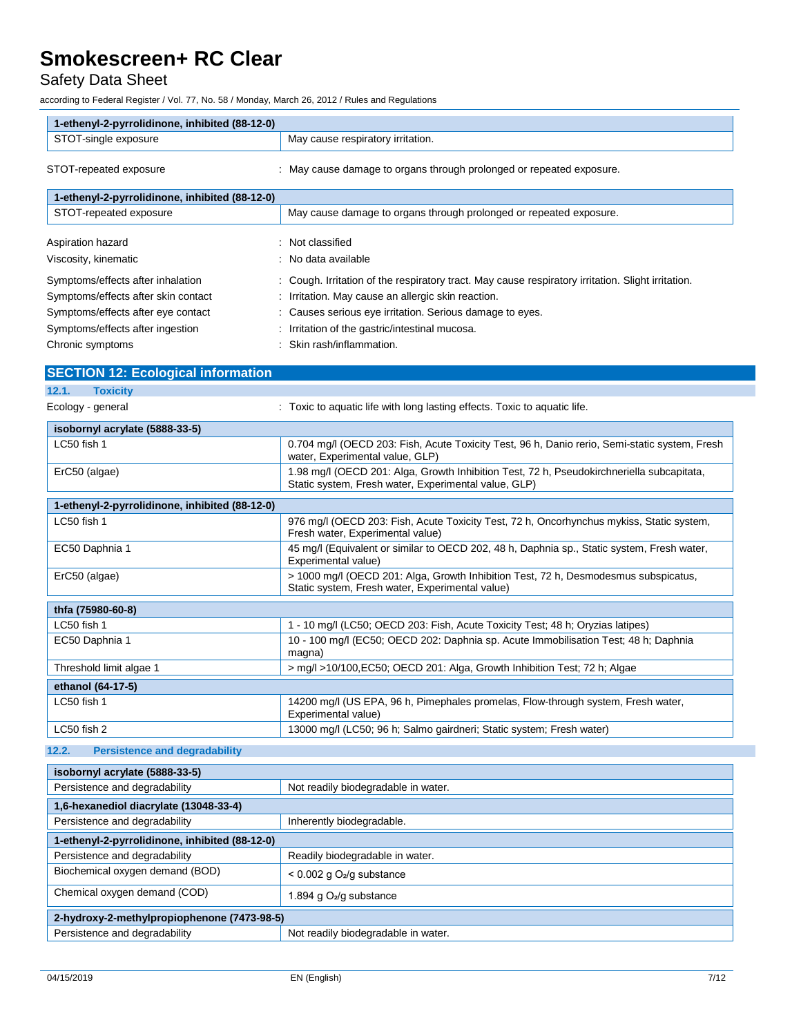Safety Data Sheet

according to Federal Register / Vol. 77, No. 58 / Monday, March 26, 2012 / Rules and Regulations

| 1-ethenyl-2-pyrrolidinone, inhibited (88-12-0) |                                      |
|------------------------------------------------|--------------------------------------|
| STOT-single exposure                           | cause respiratory irritation.<br>Mav |
|                                                |                                      |

STOT-repeated exposure : May cause damage to organs through prolonged or repeated exposure.

| 1-ethenyl-2-pyrrolidinone, inhibited (88-12-0) |                                                                                                    |  |
|------------------------------------------------|----------------------------------------------------------------------------------------------------|--|
| STOT-repeated exposure                         | May cause damage to organs through prolonged or repeated exposure.                                 |  |
| Aspiration hazard                              | Not classified<br>÷                                                                                |  |
| Viscosity, kinematic                           | No data available<br>۰.                                                                            |  |
| Symptoms/effects after inhalation              | : Cough. Irritation of the respiratory tract. May cause respiratory irritation. Slight irritation. |  |
| Symptoms/effects after skin contact            | : Irritation. May cause an allergic skin reaction.                                                 |  |
| Symptoms/effects after eye contact             | : Causes serious eye irritation. Serious damage to eyes.                                           |  |
| Symptoms/effects after ingestion               | : Irritation of the gastric/intestinal mucosa.                                                     |  |
| Chronic symptoms                               | Skin rash/inflammation.                                                                            |  |

| <b>SECTION 12: Ecological information</b>      |                                                                                                                                                   |
|------------------------------------------------|---------------------------------------------------------------------------------------------------------------------------------------------------|
| 12.1.<br><b>Toxicity</b>                       |                                                                                                                                                   |
| Ecology - general                              | : Toxic to aquatic life with long lasting effects. Toxic to aquatic life.                                                                         |
| isobornyl acrylate (5888-33-5)                 |                                                                                                                                                   |
| LC50 fish 1                                    | 0.704 mg/l (OECD 203: Fish, Acute Toxicity Test, 96 h, Danio rerio, Semi-static system, Fresh<br>water, Experimental value, GLP)                  |
| ErC50 (algae)                                  | 1.98 mg/l (OECD 201: Alga, Growth Inhibition Test, 72 h, Pseudokirchneriella subcapitata,<br>Static system, Fresh water, Experimental value, GLP) |
| 1-ethenyl-2-pyrrolidinone, inhibited (88-12-0) |                                                                                                                                                   |
| LC50 fish 1                                    | 976 mg/l (OECD 203: Fish, Acute Toxicity Test, 72 h, Oncorhynchus mykiss, Static system,<br>Fresh water, Experimental value)                      |
| EC50 Daphnia 1                                 | 45 mg/l (Equivalent or similar to OECD 202, 48 h, Daphnia sp., Static system, Fresh water,<br>Experimental value)                                 |
| ErC50 (algae)                                  | > 1000 mg/l (OECD 201: Alga, Growth Inhibition Test, 72 h, Desmodesmus subspicatus,<br>Static system, Fresh water, Experimental value)            |
| thfa (75980-60-8)                              |                                                                                                                                                   |
| LC50 fish 1                                    | 1 - 10 mg/l (LC50; OECD 203: Fish, Acute Toxicity Test; 48 h; Oryzias latipes)                                                                    |
| EC50 Daphnia 1                                 | 10 - 100 mg/l (EC50; OECD 202: Daphnia sp. Acute Immobilisation Test; 48 h; Daphnia<br>magna)                                                     |
| Threshold limit algae 1                        | > mg/l >10/100, EC50; OECD 201: Alga, Growth Inhibition Test; 72 h; Algae                                                                         |
| ethanol (64-17-5)                              |                                                                                                                                                   |
| LC50 fish 1                                    | 14200 mg/l (US EPA, 96 h, Pimephales promelas, Flow-through system, Fresh water,<br>Experimental value)                                           |
| LC50 fish 2                                    | 13000 mg/l (LC50; 96 h; Salmo gairdneri; Static system; Fresh water)                                                                              |

#### **12.2. Persistence and degradability**

| isobornyl acrylate (5888-33-5)                 |                                         |  |
|------------------------------------------------|-----------------------------------------|--|
| Persistence and degradability                  | Not readily biodegradable in water.     |  |
| 1,6-hexanediol diacrylate (13048-33-4)         |                                         |  |
| Persistence and degradability                  | Inherently biodegradable.               |  |
| 1-ethenyl-2-pyrrolidinone, inhibited (88-12-0) |                                         |  |
| Persistence and degradability                  | Readily biodegradable in water.         |  |
| Biochemical oxygen demand (BOD)                | $< 0.002$ g O <sub>2</sub> /g substance |  |
| Chemical oxygen demand (COD)                   | 1.894 g O <sub>2</sub> /g substance     |  |
| 2-hydroxy-2-methylpropiophenone (7473-98-5)    |                                         |  |
| Persistence and degradability                  | Not readily biodegradable in water.     |  |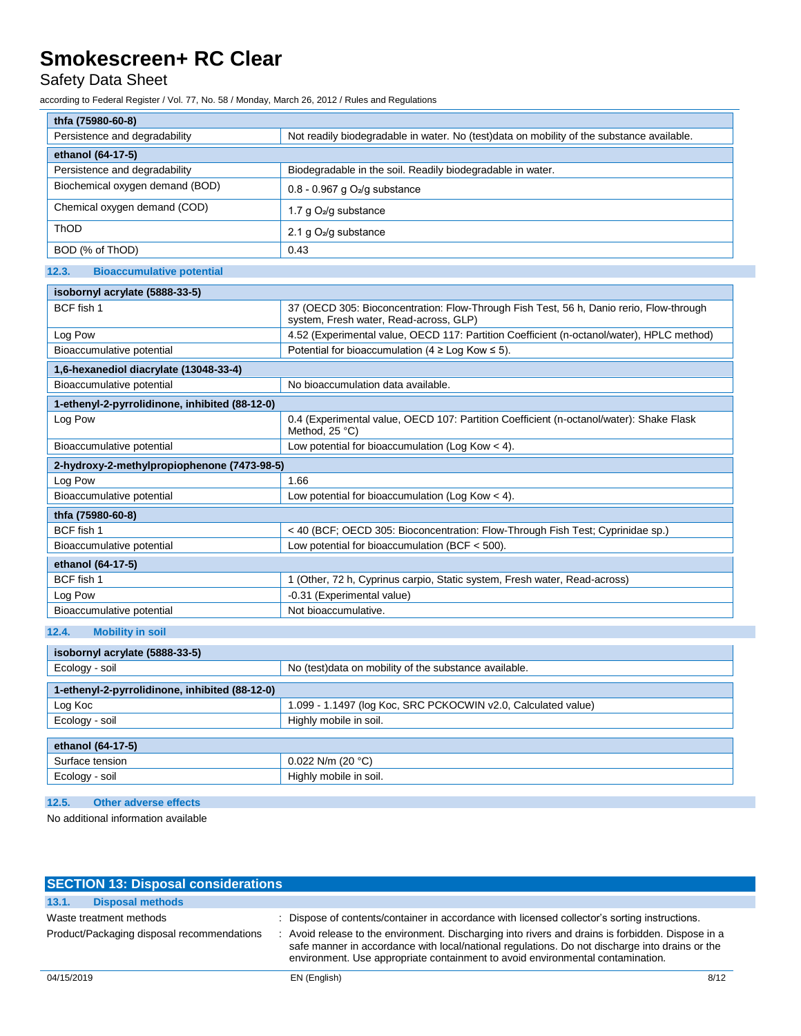## Safety Data Sheet

according to Federal Register / Vol. 77, No. 58 / Monday, March 26, 2012 / Rules and Regulations

| thfa (75980-60-8)               |                                                                                           |
|---------------------------------|-------------------------------------------------------------------------------------------|
| Persistence and degradability   | Not readily biodegradable in water. No (test)data on mobility of the substance available. |
| ethanol (64-17-5)               |                                                                                           |
| Persistence and degradability   | Biodegradable in the soil. Readily biodegradable in water.                                |
| Biochemical oxygen demand (BOD) | $0.8 - 0.967$ g O <sub>2</sub> /g substance                                               |
| Chemical oxygen demand (COD)    | 1.7 g $O_2$ /g substance                                                                  |
| <b>ThOD</b>                     | 2.1 g $O_2$ /g substance                                                                  |
| BOD (% of ThOD)                 | 0.43                                                                                      |

### **12.3. Bioaccumulative potential**

| isobornyl acrylate (5888-33-5)                 |                                                                                                                                   |  |
|------------------------------------------------|-----------------------------------------------------------------------------------------------------------------------------------|--|
| BCF fish 1                                     | 37 (OECD 305: Bioconcentration: Flow-Through Fish Test, 56 h, Danio rerio, Flow-through<br>system, Fresh water, Read-across, GLP) |  |
| Log Pow                                        | 4.52 (Experimental value, OECD 117: Partition Coefficient (n-octanol/water), HPLC method)                                         |  |
| Bioaccumulative potential                      | Potential for bioaccumulation ( $4 \geq$ Log Kow $\leq$ 5).                                                                       |  |
| 1,6-hexanediol diacrylate (13048-33-4)         |                                                                                                                                   |  |
| Bioaccumulative potential                      | No bioaccumulation data available.                                                                                                |  |
| 1-ethenyl-2-pyrrolidinone, inhibited (88-12-0) |                                                                                                                                   |  |
| Log Pow                                        | 0.4 (Experimental value, OECD 107: Partition Coefficient (n-octanol/water): Shake Flask<br>Method, 25 °C)                         |  |
| Bioaccumulative potential                      | Low potential for bioaccumulation (Log Kow $<$ 4).                                                                                |  |
| 2-hydroxy-2-methylpropiophenone (7473-98-5)    |                                                                                                                                   |  |
| Log Pow                                        | 1.66                                                                                                                              |  |
| Bioaccumulative potential                      | Low potential for bioaccumulation (Log Kow $<$ 4).                                                                                |  |
| thfa (75980-60-8)                              |                                                                                                                                   |  |
| BCF fish 1                                     | <40 (BCF; OECD 305: Bioconcentration: Flow-Through Fish Test; Cyprinidae sp.)                                                     |  |
| Bioaccumulative potential                      | Low potential for bioaccumulation (BCF $<$ 500).                                                                                  |  |
| ethanol (64-17-5)                              |                                                                                                                                   |  |
| BCF fish 1                                     | 1 (Other, 72 h, Cyprinus carpio, Static system, Fresh water, Read-across)                                                         |  |
| Log Pow                                        | -0.31 (Experimental value)                                                                                                        |  |
| Bioaccumulative potential                      | Not bioaccumulative.                                                                                                              |  |

#### **12.4. Mobility in soil**

| isobornyl acrylate (5888-33-5)                 |                                                               |  |
|------------------------------------------------|---------------------------------------------------------------|--|
| Ecology - soil                                 | No (test)data on mobility of the substance available.         |  |
| 1-ethenyl-2-pyrrolidinone, inhibited (88-12-0) |                                                               |  |
| Log Koc                                        | 1.099 - 1.1497 (log Koc, SRC PCKOCWIN v2.0, Calculated value) |  |
| Ecology - soil                                 | Highly mobile in soil.                                        |  |
|                                                |                                                               |  |
| ethanol (64-17-5)                              |                                                               |  |
| Surface tension                                | $0.022$ N/m (20 °C)                                           |  |
| Ecology - soil                                 | Highly mobile in soil.                                        |  |
|                                                |                                                               |  |

### **12.5. Other adverse effects**

No additional information available

| <b>SECTION 13: Disposal considerations</b> |                                                                                                                                                                                                                                                                                       |
|--------------------------------------------|---------------------------------------------------------------------------------------------------------------------------------------------------------------------------------------------------------------------------------------------------------------------------------------|
| 13.1.<br><b>Disposal methods</b>           |                                                                                                                                                                                                                                                                                       |
| Waste treatment methods                    | : Dispose of contents/container in accordance with licensed collector's sorting instructions.                                                                                                                                                                                         |
| Product/Packaging disposal recommendations | : Avoid release to the environment. Discharging into rivers and drains is forbidden. Dispose in a<br>safe manner in accordance with local/national regulations. Do not discharge into drains or the<br>environment. Use appropriate containment to avoid environmental contamination. |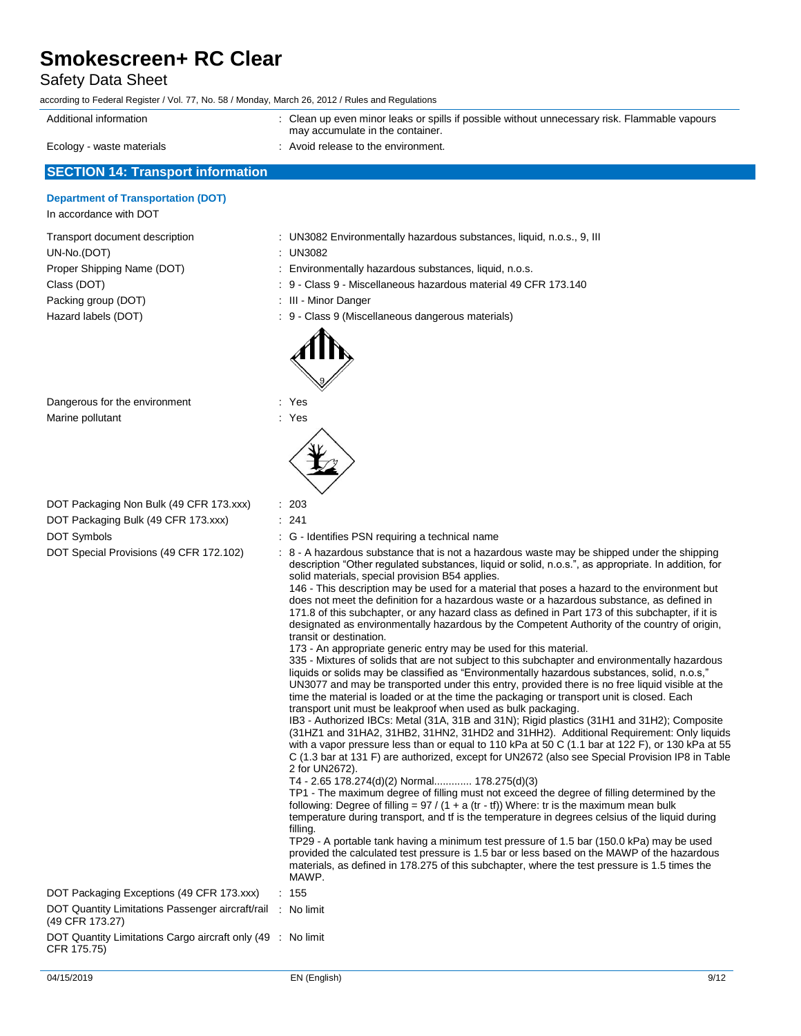## Safety Data Sheet

| according to Federal Register / Vol. 77, No. 58 / Monday, March 26, 2012 / Rules and Regulations |  |
|--------------------------------------------------------------------------------------------------|--|
|--------------------------------------------------------------------------------------------------|--|

| Additional information    | : Clean up even minor leaks or spills if possible without unnecessary risk. Flammable vapours<br>may accumulate in the container. |
|---------------------------|-----------------------------------------------------------------------------------------------------------------------------------|
| Ecology - waste materials | Avoid release to the environment.                                                                                                 |

## **SECTION 14: Transport information**

## **Department of Transportation (DOT)**

| Transport document description | : UN3082 Environn      |
|--------------------------------|------------------------|
| UN-No.(DOT)                    | : UN3082               |
| Proper Shipping Name (DOT)     | : Environmentally h    |
| Class (DOT)                    | : 9 - Class 9 - Misc   |
| Packing group (DOT)            | : III - Minor Danger   |
| Hazard labels (DOT)            | $: 9 - Class 9$ (Misce |
|                                |                        |

| DOT Packaging Non Bulk (49 CFR 173.xxx) |  | -203 |
|-----------------------------------------|--|------|
|-----------------------------------------|--|------|

| <b>Department or manaportation (DOT)</b><br>In accordance with DOT                                                                       |                                                                                                                                                                                                                                                                                                                                                                                                                                                                                                                                                                                                                                                                                                                                                                                                                                                                                                                                                                                                                                                                                                                                                                                                                                                                                                                                                                                                                                                                                                                                                                                                                                                                                                                                                                                                                                                                                                                                                                                                                                                                                                                                                                                                                                                                                                                                                                                     |
|------------------------------------------------------------------------------------------------------------------------------------------|-------------------------------------------------------------------------------------------------------------------------------------------------------------------------------------------------------------------------------------------------------------------------------------------------------------------------------------------------------------------------------------------------------------------------------------------------------------------------------------------------------------------------------------------------------------------------------------------------------------------------------------------------------------------------------------------------------------------------------------------------------------------------------------------------------------------------------------------------------------------------------------------------------------------------------------------------------------------------------------------------------------------------------------------------------------------------------------------------------------------------------------------------------------------------------------------------------------------------------------------------------------------------------------------------------------------------------------------------------------------------------------------------------------------------------------------------------------------------------------------------------------------------------------------------------------------------------------------------------------------------------------------------------------------------------------------------------------------------------------------------------------------------------------------------------------------------------------------------------------------------------------------------------------------------------------------------------------------------------------------------------------------------------------------------------------------------------------------------------------------------------------------------------------------------------------------------------------------------------------------------------------------------------------------------------------------------------------------------------------------------------------|
| Transport document description<br>UN-No.(DOT)<br>Proper Shipping Name (DOT)<br>Class (DOT)<br>Packing group (DOT)<br>Hazard labels (DOT) | : UN3082 Environmentally hazardous substances, liquid, n.o.s., 9, III<br>UN3082<br>: Environmentally hazardous substances, liquid, n.o.s.<br>: 9 - Class 9 - Miscellaneous hazardous material 49 CFR 173.140<br>: III Minor Danger<br>9 - Class 9 (Miscellaneous dangerous materials)                                                                                                                                                                                                                                                                                                                                                                                                                                                                                                                                                                                                                                                                                                                                                                                                                                                                                                                                                                                                                                                                                                                                                                                                                                                                                                                                                                                                                                                                                                                                                                                                                                                                                                                                                                                                                                                                                                                                                                                                                                                                                               |
| Dangerous for the environment<br>Marine pollutant                                                                                        | : Yes<br>: Yes                                                                                                                                                                                                                                                                                                                                                                                                                                                                                                                                                                                                                                                                                                                                                                                                                                                                                                                                                                                                                                                                                                                                                                                                                                                                                                                                                                                                                                                                                                                                                                                                                                                                                                                                                                                                                                                                                                                                                                                                                                                                                                                                                                                                                                                                                                                                                                      |
| DOT Packaging Non Bulk (49 CFR 173.xxx)<br>DOT Packaging Bulk (49 CFR 173.xxx)<br>DOT Symbols<br>DOT Special Provisions (49 CFR 172.102) | : 203<br>: 241<br>: G - Identifies PSN requiring a technical name<br>: 8 - A hazardous substance that is not a hazardous waste may be shipped under the shipping<br>description "Other regulated substances, liquid or solid, n.o.s.", as appropriate. In addition, for<br>solid materials, special provision B54 applies.<br>146 - This description may be used for a material that poses a hazard to the environment but<br>does not meet the definition for a hazardous waste or a hazardous substance, as defined in<br>171.8 of this subchapter, or any hazard class as defined in Part 173 of this subchapter, if it is<br>designated as environmentally hazardous by the Competent Authority of the country of origin,<br>transit or destination.<br>173 - An appropriate generic entry may be used for this material.<br>335 - Mixtures of solids that are not subject to this subchapter and environmentally hazardous<br>liquids or solids may be classified as "Environmentally hazardous substances, solid, n.o.s,"<br>UN3077 and may be transported under this entry, provided there is no free liquid visible at the<br>time the material is loaded or at the time the packaging or transport unit is closed. Each<br>transport unit must be leakproof when used as bulk packaging.<br>IB3 - Authorized IBCs: Metal (31A, 31B and 31N); Rigid plastics (31H1 and 31H2); Composite<br>(31HZ1 and 31HA2, 31HB2, 31HN2, 31HD2 and 31HH2). Additional Requirement: Only liquids<br>with a vapor pressure less than or equal to 110 kPa at 50 C (1.1 bar at 122 F), or 130 kPa at 55<br>C (1.3 bar at 131 F) are authorized, except for UN2672 (also see Special Provision IP8 in Table<br>2 for UN2672).<br>T4 - 2.65 178.274(d)(2) Normal 178.275(d)(3)<br>TP1 - The maximum degree of filling must not exceed the degree of filling determined by the<br>following: Degree of filling = $97 / (1 + a (tr - tf))$ Where: tr is the maximum mean bulk<br>temperature during transport, and tf is the temperature in degrees celsius of the liquid during<br>filling.<br>TP29 - A portable tank having a minimum test pressure of 1.5 bar (150.0 kPa) may be used<br>provided the calculated test pressure is 1.5 bar or less based on the MAWP of the hazardous<br>materials, as defined in 178.275 of this subchapter, where the test pressure is 1.5 times the<br>MAWP. |
| DOT Packaging Exceptions (49 CFR 173.xxx)                                                                                                | : 155                                                                                                                                                                                                                                                                                                                                                                                                                                                                                                                                                                                                                                                                                                                                                                                                                                                                                                                                                                                                                                                                                                                                                                                                                                                                                                                                                                                                                                                                                                                                                                                                                                                                                                                                                                                                                                                                                                                                                                                                                                                                                                                                                                                                                                                                                                                                                                               |
| DOT Quantity Limitations Passenger aircraft/rail<br>(49 CFR 173.27)                                                                      | : No limit                                                                                                                                                                                                                                                                                                                                                                                                                                                                                                                                                                                                                                                                                                                                                                                                                                                                                                                                                                                                                                                                                                                                                                                                                                                                                                                                                                                                                                                                                                                                                                                                                                                                                                                                                                                                                                                                                                                                                                                                                                                                                                                                                                                                                                                                                                                                                                          |
| DOT Quantity Limitations Cargo aircraft only (49 : No limit<br>CFR 175.75)                                                               |                                                                                                                                                                                                                                                                                                                                                                                                                                                                                                                                                                                                                                                                                                                                                                                                                                                                                                                                                                                                                                                                                                                                                                                                                                                                                                                                                                                                                                                                                                                                                                                                                                                                                                                                                                                                                                                                                                                                                                                                                                                                                                                                                                                                                                                                                                                                                                                     |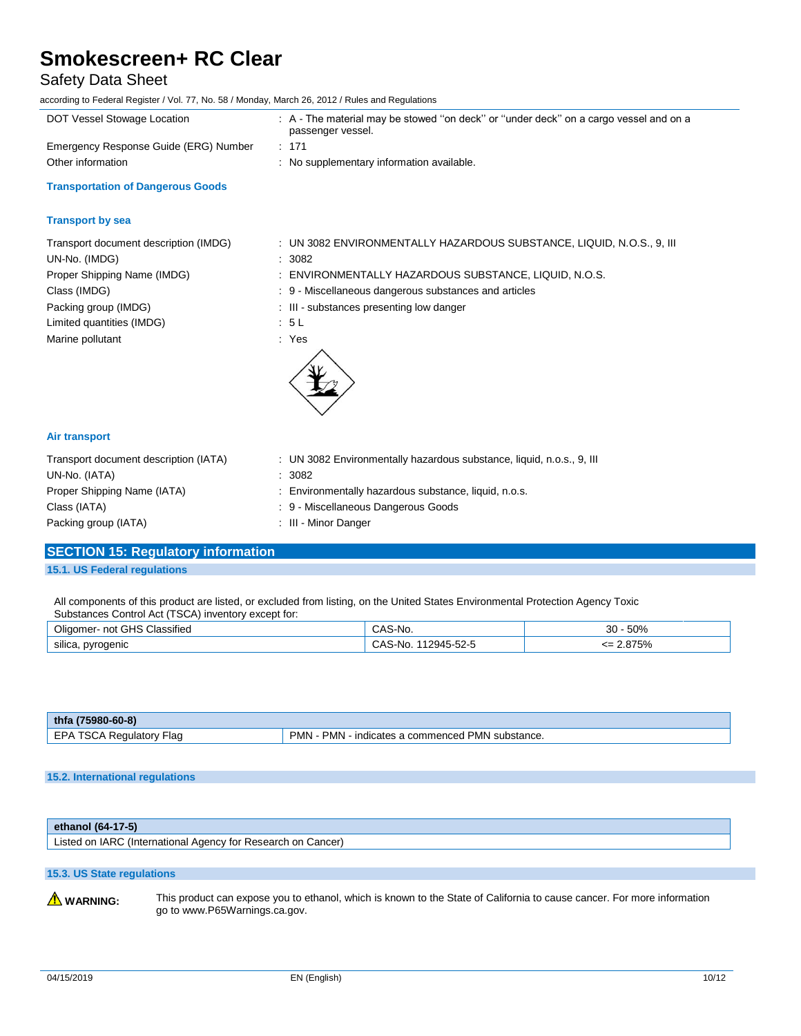## Safety Data Sheet

according to Federal Register / Vol. 77, No. 58 / Monday, March 26, 2012 / Rules and Regulations

| : A - The material may be stowed "on deck" or "under deck" on a cargo vessel and on a |
|---------------------------------------------------------------------------------------|
|                                                                                       |
|                                                                                       |
|                                                                                       |
|                                                                                       |
|                                                                                       |
| : UN 3082 ENVIRONMENTALLY HAZARDOUS SUBSTANCE, LIQUID, N.O.S., 9, III                 |
|                                                                                       |
| : ENVIRONMENTALLY HAZARDOUS SUBSTANCE, LIQUID, N.O.S.                                 |
| : 9 - Miscellaneous dangerous substances and articles                                 |
|                                                                                       |
|                                                                                       |
|                                                                                       |
|                                                                                       |
|                                                                                       |
| : UN 3082 Environmentally hazardous substance, liquid, n.o.s., 9, III                 |
|                                                                                       |
| : Environmentally hazardous substance, liquid, n.o.s.                                 |
|                                                                                       |
|                                                                                       |

**SECTION 15: Regulatory information**

Packing group (IATA)  $\qquad \qquad$ : III - Minor Danger

**15.1. US Federal regulations**

All components of this product are listed, or excluded from listing, on the United States Environmental Protection Agency Toxic Substances Control Act (TSCA) inventory except for:

| $\cdots$<br>$\cap$ LIO<br>Classified<br>าot<br>Jliaomer<br>ים | ◝    | 500'<br><b>JU70</b><br>ື     |
|---------------------------------------------------------------|------|------------------------------|
| $\cdots$<br>silica<br>pyrogenic<br>__<br>$\cdot$              | $ -$ | ים־די<br><b>O</b> 70<br>____ |

| $-60-8$<br>thfa<br>$(75980 -$ |               |
|-------------------------------|---------------|
| ⊂D∆                           | <b>PMN</b>    |
| Flad                          | ∍MN           |
| $\mathbf{v}$                  | PMN∍          |
| <b>Requiator</b>              | substance.    |
| - JUF                         | า commenced . |
| - - -                         | <b>ICATES</b> |
| . .                           | ınc           |

#### **15.2. International regulations**

| ethanol $(64-17-5)$                                          |  |
|--------------------------------------------------------------|--|
| Listed on IARC (International Agency for Research on Cancer) |  |
|                                                              |  |

### **15.3. US State regulations**

WARNING: This product can expose you to ethanol, which is known to the State of California to cause cancer. For more information go to www.P65Warnings.ca.gov.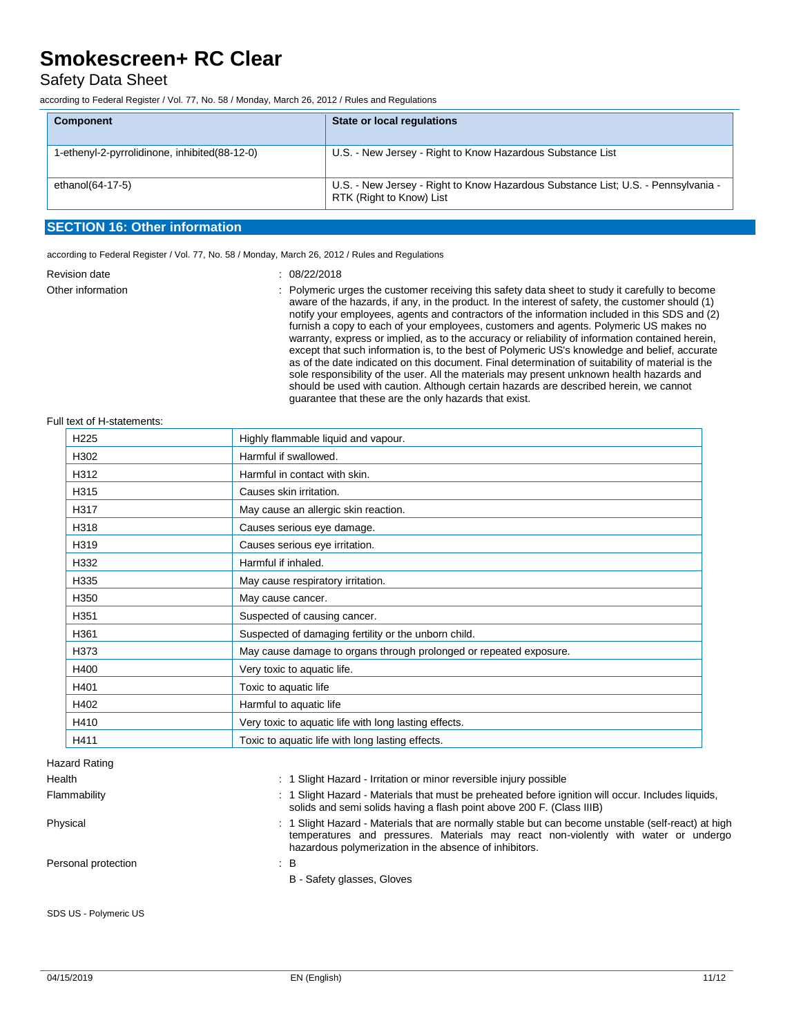### Safety Data Sheet

according to Federal Register / Vol. 77, No. 58 / Monday, March 26, 2012 / Rules and Regulations

| <b>Component</b>                              | <b>State or local regulations</b>                                                                             |
|-----------------------------------------------|---------------------------------------------------------------------------------------------------------------|
| 1-ethenyl-2-pyrrolidinone, inhibited(88-12-0) | U.S. - New Jersey - Right to Know Hazardous Substance List                                                    |
| ethanol(64-17-5)                              | U.S. - New Jersey - Right to Know Hazardous Substance List; U.S. - Pennsylvania -<br>RTK (Right to Know) List |

#### **SECTION 16: Other information**

according to Federal Register / Vol. 77, No. 58 / Monday, March 26, 2012 / Rules and Regulations

| <b>Revision date</b> | : 08/22/2018                                                                                                                                                                        |
|----------------------|-------------------------------------------------------------------------------------------------------------------------------------------------------------------------------------|
| Other information    | : Polymeric urges the customer re<br>aware of the hazards, if any, in t<br>notify your employees, agents a<br>furnish a copy to each of your er<br>warranty, express or implied, as |
|                      |                                                                                                                                                                                     |

eceiving this safety data sheet to study it carefully to become the product. In the interest of safety, the customer should (1) nd contractors of the information included in this SDS and (2) mployees, customers and agents. Polymeric US makes no to the accuracy or reliability of information contained herein, except that such information is, to the best of Polymeric US's knowledge and belief, accurate as of the date indicated on this document. Final determination of suitability of material is the sole responsibility of the user. All the materials may present unknown health hazards and should be used with caution. Although certain hazards are described herein, we cannot guarantee that these are the only hazards that exist.

#### Full text of H-statements:

| H <sub>225</sub> | Highly flammable liquid and vapour.                                |
|------------------|--------------------------------------------------------------------|
| H302             | Harmful if swallowed.                                              |
| H312             | Harmful in contact with skin.                                      |
| H315             | Causes skin irritation.                                            |
| H317             | May cause an allergic skin reaction.                               |
| H318             | Causes serious eye damage.                                         |
| H319             | Causes serious eye irritation.                                     |
| H332             | Harmful if inhaled.                                                |
| H335             | May cause respiratory irritation.                                  |
| H350             | May cause cancer.                                                  |
| H351             | Suspected of causing cancer.                                       |
| H361             | Suspected of damaging fertility or the unborn child.               |
| H373             | May cause damage to organs through prolonged or repeated exposure. |
| H400             | Very toxic to aquatic life.                                        |
| H401             | Toxic to aquatic life                                              |
| H402             | Harmful to aquatic life                                            |
| H410             | Very toxic to aquatic life with long lasting effects.              |
| H411             | Toxic to aquatic life with long lasting effects.                   |

Health : 1 Slight Hazard - Irritation or minor reversible injury possible Flammability **includes in the subset of the Search Constant** 1 Slight Hazard - Materials that must be preheated before ignition will occur. Includes liquids, solids and semi solids having a flash point above 200 F. (Class IIIB) Physical **included a material in the Slight Hazard** - Materials that are normally stable but can become unstable (self-react) at high temperatures and pressures. Materials may react non-violently with water or undergo hazardous polymerization in the absence of inhibitors. Personal protection : B B - Safety glasses, Gloves SDS US - Polymeric US